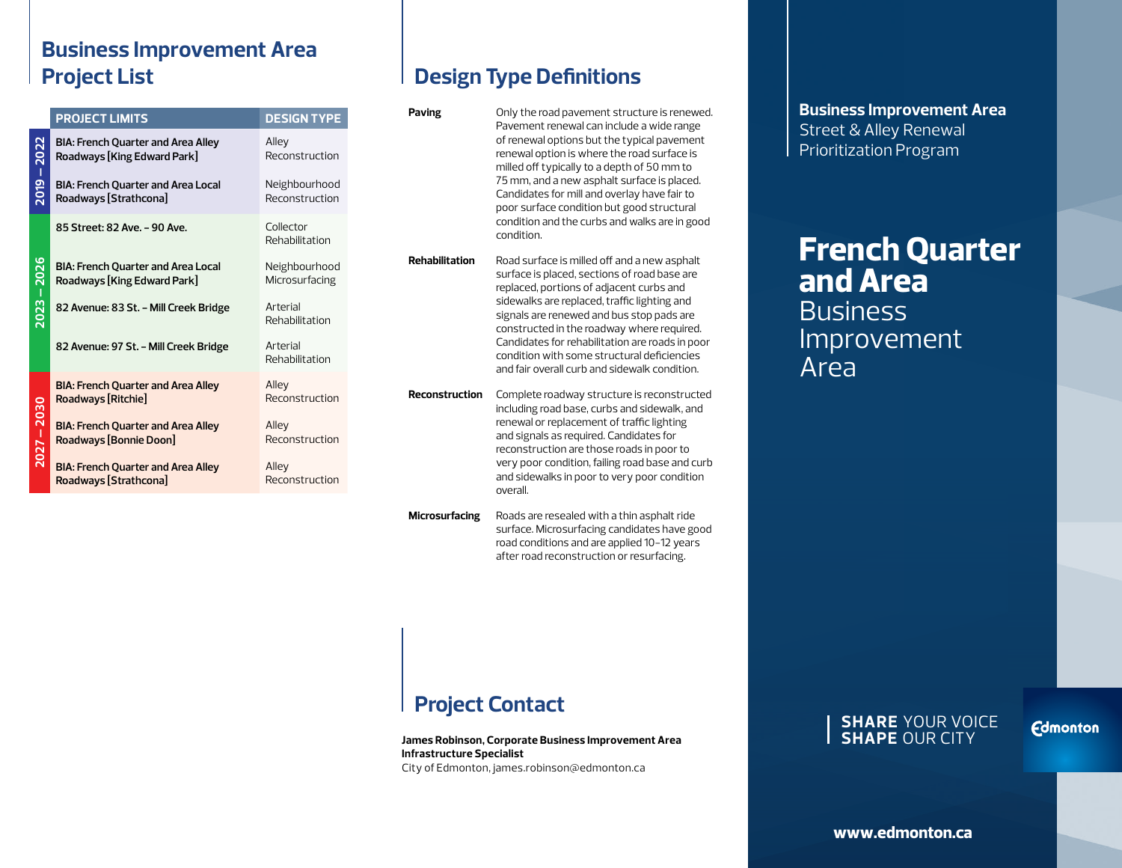## **Business Improvement Area Project List**

|             | <b>PROJECT LIMITS</b>                                                    | <b>DESIGN TYPE</b>              |
|-------------|--------------------------------------------------------------------------|---------------------------------|
| 2019 – 2022 | <b>BIA: French Quarter and Area Alley</b><br>Roadways [King Edward Park] | Alley<br>Reconstruction         |
|             | <b>BIA: French Ouarter and Area Local</b><br>Roadways [Strathcona]       | Neighbourhood<br>Reconstruction |
| 2023 – 2026 | 85 Street: 82 Ave. - 90 Ave.                                             | Collector<br>Rehabilitation     |
|             | <b>BIA: French Quarter and Area Local</b><br>Roadways [King Edward Park] | Neighbourhood<br>Microsurfacing |
|             | 82 Avenue: 83 St. - Mill Creek Bridge                                    | Arterial<br>Rehabilitation      |
|             | 82 Avenue: 97 St. - Mill Creek Bridge                                    | Arterial<br>Rehabilitation      |
| 2027 – 2030 | <b>BIA: French Quarter and Area Alley</b><br>Roadways [Ritchie]          | Alley<br>Reconstruction         |
|             | <b>BIA: French Quarter and Area Alley</b><br>Roadways [Bonnie Doon]      | Alley<br>Reconstruction         |
|             | <b>BIA: French Quarter and Area Alley</b><br>Roadways [Strathcona]       | Alley<br>Reconstruction         |

# **Design Type Definitions**

| Paving                | Only the road pavement structure is renewed.<br>Pavement renewal can include a wide range<br>of renewal options but the typical pavement<br>renewal option is where the road surface is<br>milled off typically to a depth of 50 mm to<br>75 mm, and a new asphalt surface is placed.<br>Candidates for mill and overlay have fair to<br>poor surface condition but good structural<br>condition and the curbs and walks are in good<br>condition. |
|-----------------------|----------------------------------------------------------------------------------------------------------------------------------------------------------------------------------------------------------------------------------------------------------------------------------------------------------------------------------------------------------------------------------------------------------------------------------------------------|
| <b>Rehabilitation</b> | Road surface is milled off and a new asphalt<br>surface is placed, sections of road base are<br>replaced, portions of adjacent curbs and<br>sidewalks are replaced, traffic lighting and<br>signals are renewed and bus stop pads are<br>constructed in the roadway where required.<br>Candidates for rehabilitation are roads in poor<br>condition with some structural deficiencies<br>and fair overall curb and sidewalk condition.             |
| <b>Reconstruction</b> | Complete roadway structure is reconstructed<br>including road base, curbs and sidewalk, and<br>renewal or replacement of traffic lighting<br>and signals as required. Candidates for<br>reconstruction are those roads in poor to<br>very poor condition, failing road base and curb<br>and sidewalks in poor to very poor condition<br>overall.                                                                                                   |
|                       |                                                                                                                                                                                                                                                                                                                                                                                                                                                    |

**Microsurfacing** Roads are resealed with a thin asphalt ride surface. Microsurfacing candidates have good road conditions and are applied 10-12 years after road reconstruction or resurfacing.

# **Project Contact**

**James Robinson, Corporate Business Improvement Area Infrastructure Specialist** City of Edmonton, james.robinson@edmonton.ca

**Business Improvement Area** Street & Alley Renewal Prioritization Program

# **French Quarter and Area Business** Improvement Area

#### **SHARE** YOUR VOICE **SHAPE** OUR CITY

**Edmonton**